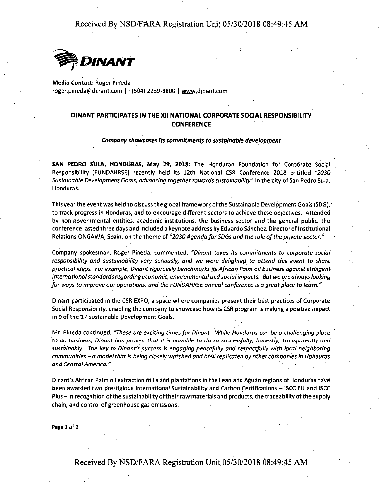Received By NSD/FARA Registration Unit 05/30/2018 08:49:45 AM



**Media Contact:** Roger Pineda roger.pineda@dinant.com I +(504) 2239-8800 I www.dinant.com

## **DINANT PARTICIPATES IN** TliE **XII NATIONAL CORPORATE SOCIAL RESPONSIBILITY CONFERENCE**

#### *Company showcases its commitments to sustainable development*

SAN PEDRO SULA, HONDURAS, May 29, 2018: The Honduran Foundation for Corporate Social Responsibility (FUNDAHRSE) recently held its 12th National CSR Conference 2018 entitled *''2030 Sustainable Development Goals, advancing together towards sustainability*<sup>"</sup> in the city of San Pedro Sula, Honduras.

This year the event was held to discuss the global framework of the Sustainable Development Goals (SDG), to track progress in Honduras, and to encourage different sectors to achieve these objectives. Attended by non-governmental entities, academic institutions, the business sector and the general public, the conference lasted three days and included a keynote address by Eduardo Sanchez, Director of Institutional Relations ONGAWA, Spain, on the theme of "2030 Agenda for SDGs and the role of the private sector."

Company spokesman, Roger Pineda, commented, *"Dinant takes its commitments to corporate social*  responsibility and sustainability very seriously, and we were delighted to attend this event to share *practical ideas. For example, Dinant rigorously benchmarks its African Palm* oil *business against stringent international standards regarding economic, environmental and social impacts. But we are always looking for ways* to *improve our operations, and the FUNDAHRSE annual conference is a-great place to learn."* 

Dinant participated in the CSR EXPO, a space where companies present their best practices of Corporate Social Responsibility, enabling the company to showcase how its CSR program is making a positive impact in 9 of the 17 Sustainable Development Goals.

**M\_r, ~ineda continu\_ed,** *"These are·exciting time\_s for Dina\_nt. While Hondl.Jras can be a challenging p/ace*  to do business, Dinant has proven that it is possible to do so successfully, honestly, transparently and *sustainably. The key to Dinant's success is engaging peacefully and respectfully with local neighboring communities* - *a model that is being closely watched and now replicated by other compa\_nies in Honduras and Central America."* 

Dinant's African Palm oil extraction mills and plantations in the Lean and Aguan regions of Honduras have been awarded two prestigious International Sustainability and Carbon Certifications - ISCC EU and ISCC Plus – in recognition of the sustainability of their raw materials and products, the traceability of the supply chain, and control of greenhouse gas emissions.

Page 1 of 2

Received By NSD/F ARA Registration Unit 05/30/2018 08:49:45 AM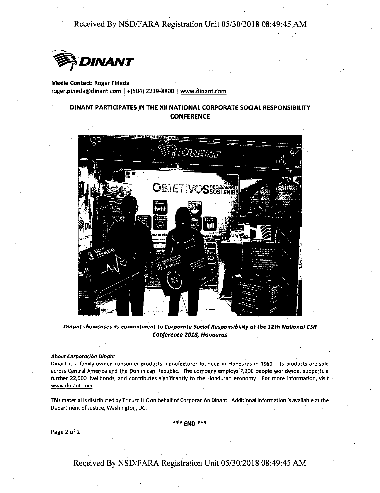Received By NSD/FARA Registration Unit 05/30/2018 08:49:45 AM



**Media Contact:** Roger Pineda roger.pineda@dinant.com I +(504) 2239-8800 I www.dinant.com

## **DINANT PARTICIPATES IN** THE **XII NATIONAL CORPORATE SOCIAL RESPONSIBILITY CONFERENCE**



*Qfn.ant shawcpsl?s its com.mitment ta Corporate Social Responsibility at the 12th National CSR Conference 2018, Honduras* 

### About Corporación Dinant

Dinant is a family-owned consumer products manufacturer founded in Honduras in 1960. Its products are sold across Central America and the Dominican Republic. The company employs 7,200 people worldwide, supports a further 22,000 livelihoods, and contributes significantly to the Honduran economy. For more information, visit www.dinant.com.

This material is distributed by Tricuro LLC on behalf of Corporation Dinant. Additional information is available at the Department of Justice, Washington, DC.

\*\*'\* END-\*\*\*

**Page** *i* of *i* 

Received By NSD/F ARA Registration Unit 05/30/2018 08:49:45 AM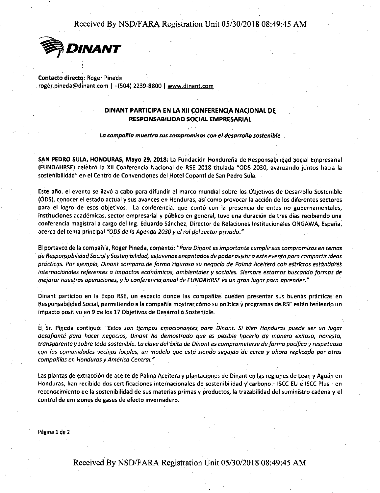Received By NSD/FARA Registration Unit 05/30/2018 08:49:45 AM



**Contacto directo:** Roger Pineda ' roger.pineda@dinant.com I +(504) 2239-8.800 I www.dinant.com

# **DINANT PARTICIPA EN LA XII CONFERENCIA NACIONAL DE RESPONSABILIDAD SOCIAL EMPRESARIAL**

La compañía muestra sus compromisos con el desarrollo sostenible

SAN PEDRO SULA, HONDURAS, Mayo 29, 2018: La Fundación Hondureña de Responsabilidad Social Empresarial (FUNDAHRSE) celebr6 la XII Conferencia Nacional de RSE 2018 titulada "ODS 2030, avanzando juntas hacia la sostenibilidad" en el Centro de Convenciones del Hotel Copantl de San Pedro Sula.

Este año, el evento se llevó a cabo para difundir el marco mundial sobre los Objetivos de Desarrollo Sostenible (ODS), c\_onocer el estado actual y sus avances en Honduras, asi como provocar la acci6n de los diferentes sectores para el logro de esos objetivos. La conferencia, que contó con la presencia de entes no gubernamentales, instituciones académicas, sector empresarial y público en general, tuvo una duración de tres días recibiendo una conferencia magistral a cargo del Ing. Eduardo Sanchez, Director de Relaciones lnstitucionales ONGAWA, Espana, acerca del tema principal *"ODS de la Agenda 2030* y *el rat def sector privado."* 

El portavoz de la compaiiia, Roger Pineda, comento: *"Para Dinant es importante cumplir sus compromisos en temos*  · *de Responsobilidad Socio/* y *Sostenibilidad, es tu vi mos encantodos de poder asistir a este evento poro compartir ideas pr6cticas. Par ejemplo, Dinant compara de forma rigurosa su negocio de Palma Aceitera con estrictos estandares internacionales referentes a impactos econ6micos, ambientales* y *sociales. Siempre estamos buscando formas de mejoror nuestras operociones, y la conferencia anual de FUNDAHRSE es un gron lugar para aprender.* •

Dinant participo en la Expo RSE, un espacio donde las compañías pueden presentar sus buenas prácticas en Responsabilidad Social, permitiendo a la compañía mostrar cómo su política y programas de RSE están teniendo un impacto positive en 9 de los 17 Objetivos de Desarrollo Sostenible.

**Er ·sr-. Pi\_neda contir1u6: "Estos son tiempos emocionantes para Dinant. Si bien Honduras puede ser** *un* **lugar**  *desafiante para hacer negocios, Dinant ha demostrodo que es posible hocer/o de manera exitosa, honesto, tronsporente* y *sabre todo sostenible. La clave def exito de Dinont es comprometerse de forma pacifico* y *respetuosa*  con las comunidades vecinas locales, un modelo que está siendo seguido de cerca y ahora replicado por otras **compañías en Honduras y América Central."** 

Las plantas de extracción de aceite de Palma Aceitera y plantaciones de Dinant en las regiones de Lean y Aguan en Honduras, han recibido dos certificaciones internacionales de sostenibilidad y' carbono .- ISCC EU e ISCC Plus - en reconocimiento de la sostenibilidad de sus materias primas y productos, la trazabilidad del suministro cadena y el control de emisiones de gases de efecto invernadero.

Pagina 1 de 2

Received By NSD/FARA Registration Unit 05/30/2018 08:49:45 AM